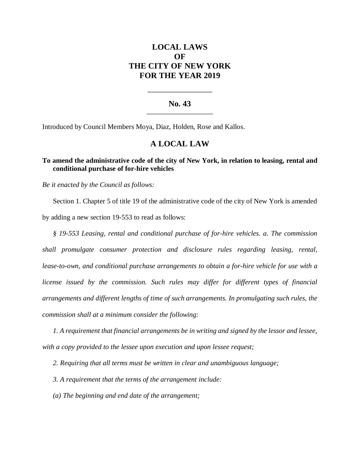# **LOCAL LAWS OF THE CITY OF NEW YORK FOR THE YEAR 2019**

### **No. 43 \_\_\_\_\_\_\_\_\_\_\_\_\_\_\_\_\_\_\_\_\_\_\_\_\_**

**\_\_\_\_\_\_\_\_\_\_\_\_\_\_\_\_\_\_\_\_\_\_**

Introduced by Council Members Moya, Diaz, Holden, Rose and Kallos.

## **A LOCAL LAW**

### **To amend the administrative code of the city of New York, in relation to leasing, rental and conditional purchase of for-hire vehicles**

*Be it enacted by the Council as follows:*

Section 1. Chapter 5 of title 19 of the administrative code of the city of New York is amended by adding a new section 19-553 to read as follows:

*§ 19-553 Leasing, rental and conditional purchase of for-hire vehicles. a. The commission shall promulgate consumer protection and disclosure rules regarding leasing, rental, lease-to-own, and conditional purchase arrangements to obtain a for-hire vehicle for use with a license issued by the commission. Such rules may differ for different types of financial arrangements and different lengths of time of such arrangements. In promulgating such rules, the commission shall at a minimum consider the following:*

*1. A requirement that financial arrangements be in writing and signed by the lessor and lessee, with a copy provided to the lessee upon execution and upon lessee request;*

*2. Requiring that all terms must be written in clear and unambiguous language;* 

*3. A requirement that the terms of the arrangement include:*

*(a) The beginning and end date of the arrangement;*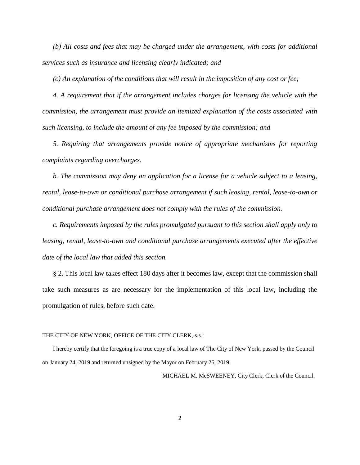*(b) All costs and fees that may be charged under the arrangement, with costs for additional services such as insurance and licensing clearly indicated; and*

*(c) An explanation of the conditions that will result in the imposition of any cost or fee;*

*4. A requirement that if the arrangement includes charges for licensing the vehicle with the commission, the arrangement must provide an itemized explanation of the costs associated with such licensing, to include the amount of any fee imposed by the commission; and*

*5. Requiring that arrangements provide notice of appropriate mechanisms for reporting complaints regarding overcharges.*

*b. The commission may deny an application for a license for a vehicle subject to a leasing, rental, lease-to-own or conditional purchase arrangement if such leasing, rental, lease-to-own or conditional purchase arrangement does not comply with the rules of the commission.* 

*c. Requirements imposed by the rules promulgated pursuant to this section shall apply only to leasing, rental, lease-to-own and conditional purchase arrangements executed after the effective date of the local law that added this section.* 

§ 2. This local law takes effect 180 days after it becomes law, except that the commission shall take such measures as are necessary for the implementation of this local law, including the promulgation of rules, before such date.

#### THE CITY OF NEW YORK, OFFICE OF THE CITY CLERK, s.s.:

I hereby certify that the foregoing is a true copy of a local law of The City of New York, passed by the Council on January 24, 2019 and returned unsigned by the Mayor on February 26, 2019.

MICHAEL M. McSWEENEY, City Clerk, Clerk of the Council.